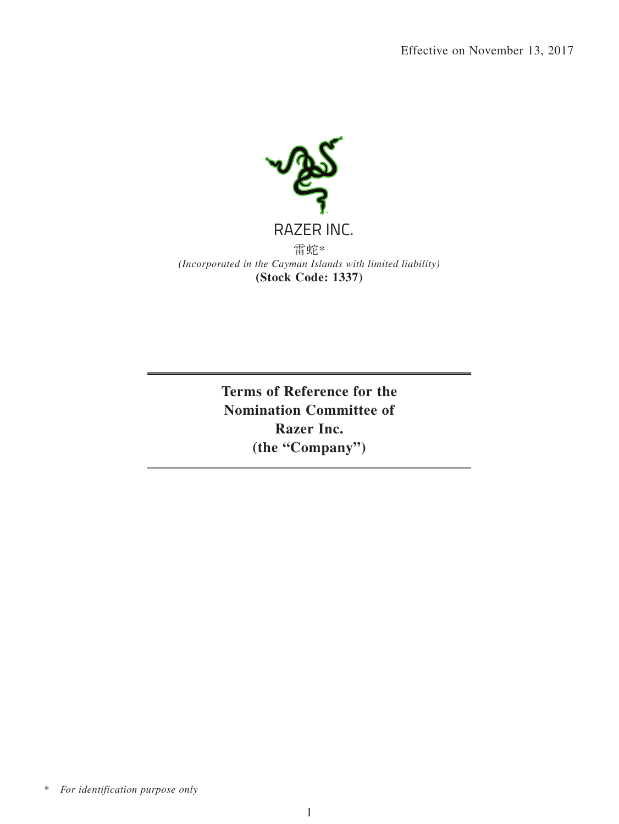

**Terms of Reference for the Nomination Committee of Razer Inc. (the "Company")**

\* *For identification purpose only*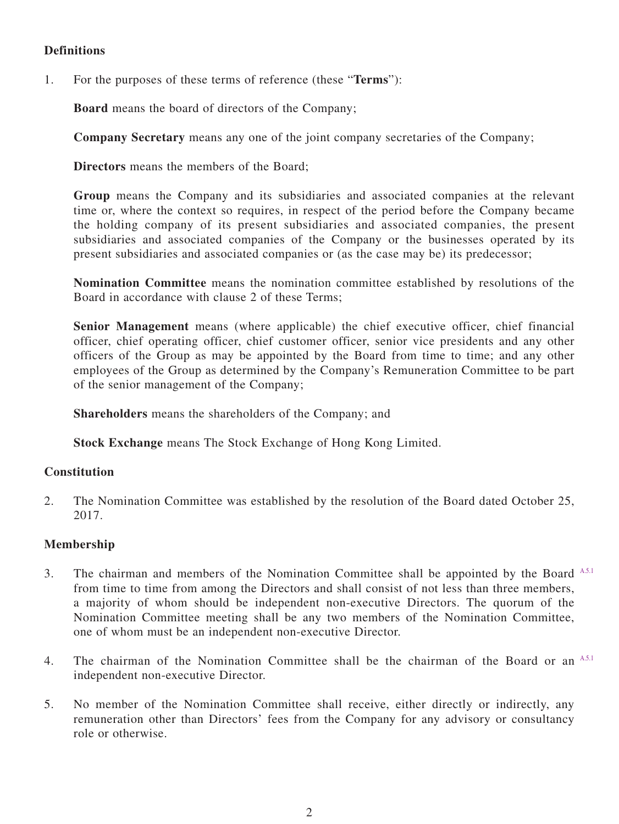# **Definitions**

1. For the purposes of these terms of reference (these "**Terms**"):

**Board** means the board of directors of the Company;

**Company Secretary** means any one of the joint company secretaries of the Company;

**Directors** means the members of the Board;

**Group** means the Company and its subsidiaries and associated companies at the relevant time or, where the context so requires, in respect of the period before the Company became the holding company of its present subsidiaries and associated companies, the present subsidiaries and associated companies of the Company or the businesses operated by its present subsidiaries and associated companies or (as the case may be) its predecessor;

**Nomination Committee** means the nomination committee established by resolutions of the Board in accordance with clause 2 of these Terms;

**Senior Management** means (where applicable) the chief executive officer, chief financial officer, chief operating officer, chief customer officer, senior vice presidents and any other officers of the Group as may be appointed by the Board from time to time; and any other employees of the Group as determined by the Company's Remuneration Committee to be part of the senior management of the Company;

**Shareholders** means the shareholders of the Company; and

**Stock Exchange** means The Stock Exchange of Hong Kong Limited.

# **Constitution**

2. The Nomination Committee was established by the resolution of the Board dated October 25, 2017.

# **Membership**

- 3. The chairman and members of the Nomination Committee shall be appointed by the Board A.5.1 from time to time from among the Directors and shall consist of not less than three members, a majority of whom should be independent non-executive Directors. The quorum of the Nomination Committee meeting shall be any two members of the Nomination Committee, one of whom must be an independent non-executive Director.
- 4. The chairman of the Nomination Committee shall be the chairman of the Board or an A.5.1 independent non-executive Director.
- 5. No member of the Nomination Committee shall receive, either directly or indirectly, any remuneration other than Directors' fees from the Company for any advisory or consultancy role or otherwise.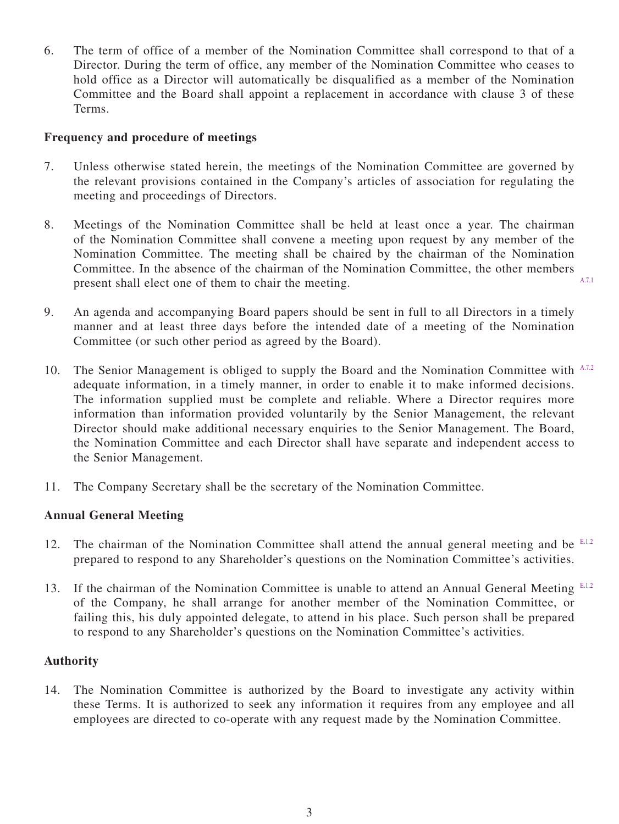6. The term of office of a member of the Nomination Committee shall correspond to that of a Director. During the term of office, any member of the Nomination Committee who ceases to hold office as a Director will automatically be disqualified as a member of the Nomination Committee and the Board shall appoint a replacement in accordance with clause 3 of these Terms.

#### **Frequency and procedure of meetings**

- 7. Unless otherwise stated herein, the meetings of the Nomination Committee are governed by the relevant provisions contained in the Company's articles of association for regulating the meeting and proceedings of Directors.
- 8. Meetings of the Nomination Committee shall be held at least once a year. The chairman of the Nomination Committee shall convene a meeting upon request by any member of the Nomination Committee. The meeting shall be chaired by the chairman of the Nomination Committee. In the absence of the chairman of the Nomination Committee, the other members present shall elect one of them to chair the meeting. A.7.1
- 9. An agenda and accompanying Board papers should be sent in full to all Directors in a timely manner and at least three days before the intended date of a meeting of the Nomination Committee (or such other period as agreed by the Board).
- 10. The Senior Management is obliged to supply the Board and the Nomination Committee with A.7.2 adequate information, in a timely manner, in order to enable it to make informed decisions. The information supplied must be complete and reliable. Where a Director requires more information than information provided voluntarily by the Senior Management, the relevant Director should make additional necessary enquiries to the Senior Management. The Board, the Nomination Committee and each Director shall have separate and independent access to the Senior Management.
- 11. The Company Secretary shall be the secretary of the Nomination Committee.

# **Annual General Meeting**

- 12. The chairman of the Nomination Committee shall attend the annual general meeting and be E.1.2 prepared to respond to any Shareholder's questions on the Nomination Committee's activities.
- 13. If the chairman of the Nomination Committee is unable to attend an Annual General Meeting E.1.2 of the Company, he shall arrange for another member of the Nomination Committee, or failing this, his duly appointed delegate, to attend in his place. Such person shall be prepared to respond to any Shareholder's questions on the Nomination Committee's activities.

# **Authority**

14. The Nomination Committee is authorized by the Board to investigate any activity within these Terms. It is authorized to seek any information it requires from any employee and all employees are directed to co-operate with any request made by the Nomination Committee.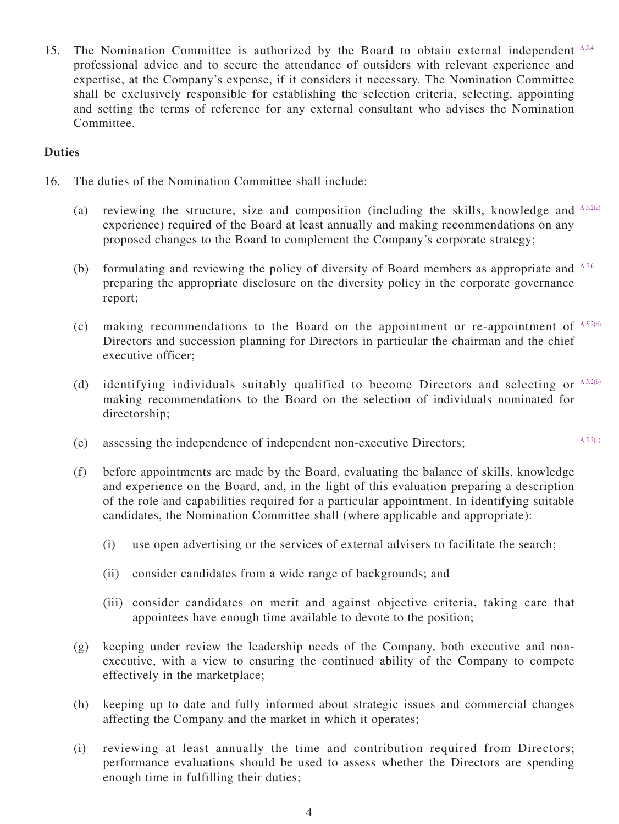15. The Nomination Committee is authorized by the Board to obtain external independent A.5.4 professional advice and to secure the attendance of outsiders with relevant experience and expertise, at the Company's expense, if it considers it necessary. The Nomination Committee shall be exclusively responsible for establishing the selection criteria, selecting, appointing and setting the terms of reference for any external consultant who advises the Nomination Committee.

# **Duties**

- 16. The duties of the Nomination Committee shall include:
	- (a) reviewing the structure, size and composition (including the skills, knowledge and  $A.5.2(a)$ experience) required of the Board at least annually and making recommendations on any proposed changes to the Board to complement the Company's corporate strategy;
	- (b) formulating and reviewing the policy of diversity of Board members as appropriate and A5.6 preparing the appropriate disclosure on the diversity policy in the corporate governance report;
	- (c) making recommendations to the Board on the appointment or re-appointment of  $A5.2(d)$ Directors and succession planning for Directors in particular the chairman and the chief executive officer;
	- (d) identifying individuals suitably qualified to become Directors and selecting or  $A.5.2(b)$ making recommendations to the Board on the selection of individuals nominated for directorship;

A.5.2(c)

- (e) assessing the independence of independent non-executive Directors;
- (f) before appointments are made by the Board, evaluating the balance of skills, knowledge and experience on the Board, and, in the light of this evaluation preparing a description of the role and capabilities required for a particular appointment. In identifying suitable candidates, the Nomination Committee shall (where applicable and appropriate):
	- (i) use open advertising or the services of external advisers to facilitate the search;
	- (ii) consider candidates from a wide range of backgrounds; and
	- (iii) consider candidates on merit and against objective criteria, taking care that appointees have enough time available to devote to the position;
- (g) keeping under review the leadership needs of the Company, both executive and nonexecutive, with a view to ensuring the continued ability of the Company to compete effectively in the marketplace;
- (h) keeping up to date and fully informed about strategic issues and commercial changes affecting the Company and the market in which it operates;
- (i) reviewing at least annually the time and contribution required from Directors; performance evaluations should be used to assess whether the Directors are spending enough time in fulfilling their duties;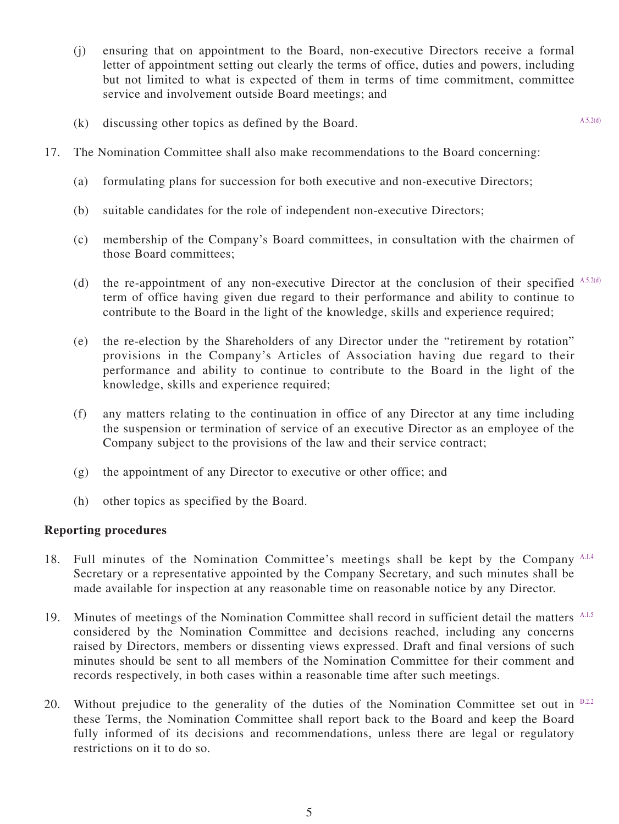- (j) ensuring that on appointment to the Board, non-executive Directors receive a formal letter of appointment setting out clearly the terms of office, duties and powers, including but not limited to what is expected of them in terms of time commitment, committee service and involvement outside Board meetings; and
- (k) discussing other topics as defined by the Board.

- 17. The Nomination Committee shall also make recommendations to the Board concerning:
	- (a) formulating plans for succession for both executive and non-executive Directors;
	- (b) suitable candidates for the role of independent non-executive Directors;
	- (c) membership of the Company's Board committees, in consultation with the chairmen of those Board committees;
	- (d) the re-appointment of any non-executive Director at the conclusion of their specified  $A.5.2(d)$ term of office having given due regard to their performance and ability to continue to contribute to the Board in the light of the knowledge, skills and experience required;
	- (e) the re-election by the Shareholders of any Director under the "retirement by rotation" provisions in the Company's Articles of Association having due regard to their performance and ability to continue to contribute to the Board in the light of the knowledge, skills and experience required;
	- (f) any matters relating to the continuation in office of any Director at any time including the suspension or termination of service of an executive Director as an employee of the Company subject to the provisions of the law and their service contract;
	- (g) the appointment of any Director to executive or other office; and
	- (h) other topics as specified by the Board.

#### **Reporting procedures**

- 18. Full minutes of the Nomination Committee's meetings shall be kept by the Company A.1.4 Secretary or a representative appointed by the Company Secretary, and such minutes shall be made available for inspection at any reasonable time on reasonable notice by any Director.
- 19. Minutes of meetings of the Nomination Committee shall record in sufficient detail the matters A.1.5 considered by the Nomination Committee and decisions reached, including any concerns raised by Directors, members or dissenting views expressed. Draft and final versions of such minutes should be sent to all members of the Nomination Committee for their comment and records respectively, in both cases within a reasonable time after such meetings.
- 20. Without prejudice to the generality of the duties of the Nomination Committee set out in  $D.2.2$ these Terms, the Nomination Committee shall report back to the Board and keep the Board fully informed of its decisions and recommendations, unless there are legal or regulatory restrictions on it to do so.